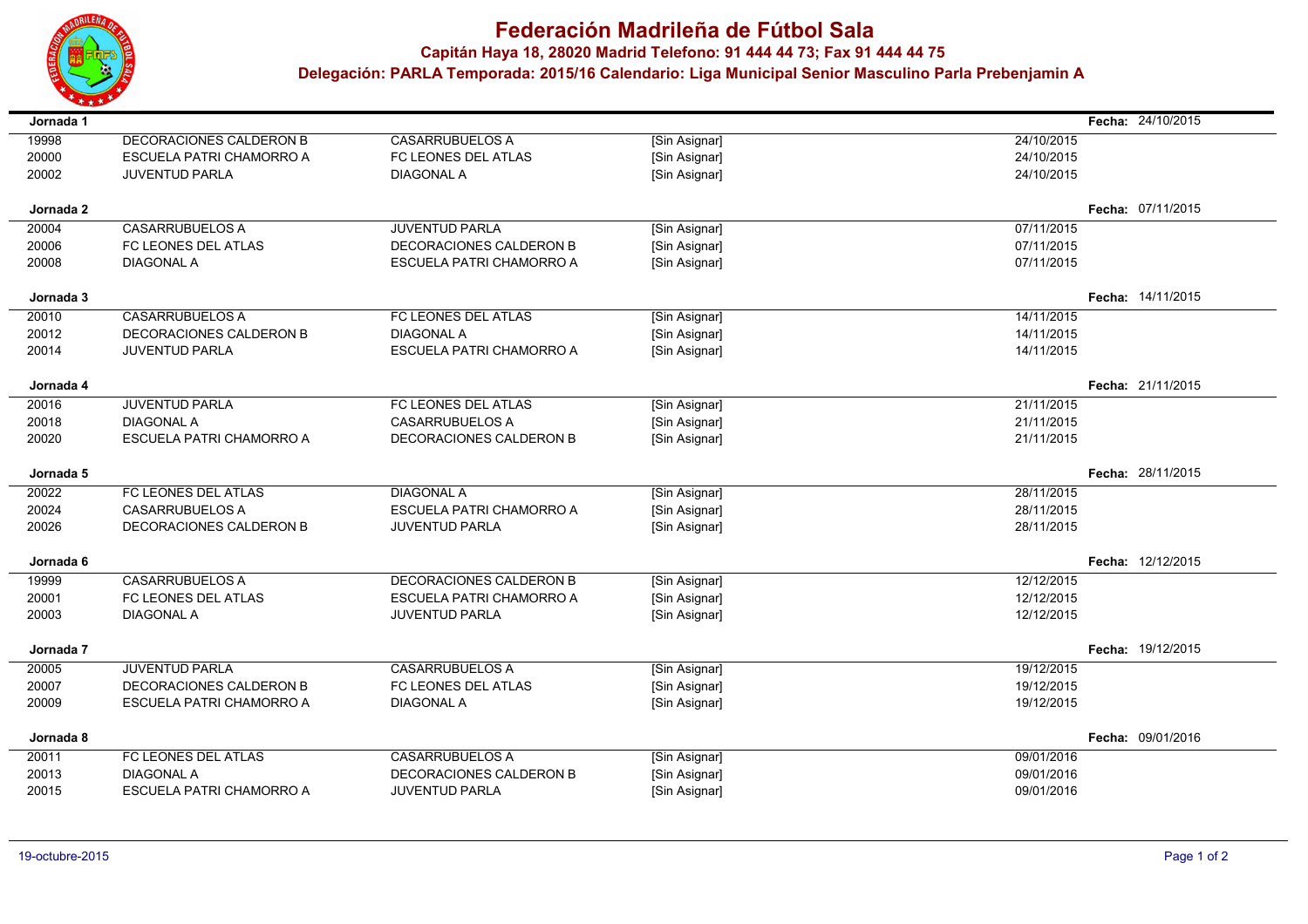

## **Federación Madrileña de Fútbol Sala**

**Capitán Haya 18, <sup>28020</sup> Madrid Telefono: 91 444 44 73; Fax 91 444 44 75**

 **Delegación: PARLA Temporada: 2015/16 Calendario: Liga Municipal Senior Masculino Parla Prebenjamin A**

| Jornada 1      |                                 |                                 |               |            | Fecha: 24/10/2015 |
|----------------|---------------------------------|---------------------------------|---------------|------------|-------------------|
| 19998          | DECORACIONES CALDERON B         | <b>CASARRUBUELOS A</b>          | [Sin Asignar] | 24/10/2015 |                   |
| 20000          | ESCUELA PATRI CHAMORRO A        | FC LEONES DEL ATLAS             | [Sin Asignar] | 24/10/2015 |                   |
| 20002          | <b>JUVENTUD PARLA</b>           | <b>DIAGONAL A</b>               | [Sin Asignar] | 24/10/2015 |                   |
| Jornada 2      |                                 |                                 |               |            | Fecha: 07/11/2015 |
|                | <b>CASARRUBUELOS A</b>          | <b>JUVENTUD PARLA</b>           |               | 07/11/2015 |                   |
| 20004          |                                 |                                 | [Sin Asignar] |            |                   |
| 20006          | FC LEONES DEL ATLAS             | DECORACIONES CALDERON B         | [Sin Asignar] | 07/11/2015 |                   |
| 20008          | <b>DIAGONAL A</b>               | <b>ESCUELA PATRI CHAMORRO A</b> | [Sin Asignar] | 07/11/2015 |                   |
| Jornada 3      |                                 |                                 |               |            | Fecha: 14/11/2015 |
| 20010          | <b>CASARRUBUELOS A</b>          | FC LEONES DEL ATLAS             | [Sin Asignar] | 14/11/2015 |                   |
| 20012          | <b>DECORACIONES CALDERON B</b>  | <b>DIAGONAL A</b>               | [Sin Asignar] | 14/11/2015 |                   |
| 20014          | <b>JUVENTUD PARLA</b>           | <b>ESCUELA PATRI CHAMORRO A</b> | [Sin Asignar] | 14/11/2015 |                   |
| Jornada 4      |                                 |                                 |               |            | Fecha: 21/11/2015 |
|                | <b>JUVENTUD PARLA</b>           | FC LEONES DEL ATLAS             |               | 21/11/2015 |                   |
| 20016<br>20018 | <b>DIAGONAL A</b>               | <b>CASARRUBUELOS A</b>          | [Sin Asignar] | 21/11/2015 |                   |
|                |                                 |                                 | [Sin Asignar] |            |                   |
| 20020          | <b>ESCUELA PATRI CHAMORRO A</b> | DECORACIONES CALDERON B         | [Sin Asignar] | 21/11/2015 |                   |
| Jornada 5      |                                 |                                 |               |            | Fecha: 28/11/2015 |
| 20022          | FC LEONES DEL ATLAS             | <b>DIAGONAL A</b>               | [Sin Asignar] | 28/11/2015 |                   |
| 20024          | <b>CASARRUBUELOS A</b>          | ESCUELA PATRI CHAMORRO A        | [Sin Asignar] | 28/11/2015 |                   |
| 20026          | DECORACIONES CALDERON B         | <b>JUVENTUD PARLA</b>           | [Sin Asignar] | 28/11/2015 |                   |
| Jornada 6      |                                 |                                 |               |            | Fecha: 12/12/2015 |
| 19999          | <b>CASARRUBUELOS A</b>          | DECORACIONES CALDERON B         | [Sin Asignar] | 12/12/2015 |                   |
| 20001          | FC LEONES DEL ATLAS             | <b>ESCUELA PATRI CHAMORRO A</b> | [Sin Asignar] | 12/12/2015 |                   |
| 20003          | <b>DIAGONAL A</b>               | <b>JUVENTUD PARLA</b>           | [Sin Asignar] | 12/12/2015 |                   |
|                |                                 |                                 |               |            |                   |
| Jornada 7      |                                 |                                 |               |            | Fecha: 19/12/2015 |
| 20005          | <b>JUVENTUD PARLA</b>           | <b>CASARRUBUELOS A</b>          | [Sin Asignar] | 19/12/2015 |                   |
| 20007          | DECORACIONES CALDERON B         | FC LEONES DEL ATLAS             | [Sin Asignar] | 19/12/2015 |                   |
| 20009          | <b>ESCUELA PATRI CHAMORRO A</b> | <b>DIAGONAL A</b>               | [Sin Asignar] | 19/12/2015 |                   |
| Jornada 8      |                                 |                                 |               |            | Fecha: 09/01/2016 |
| 20011          | FC LEONES DEL ATLAS             | <b>CASARRUBUELOS A</b>          | [Sin Asignar] | 09/01/2016 |                   |
| 20013          | <b>DIAGONAL A</b>               | DECORACIONES CALDERON B         | [Sin Asignar] | 09/01/2016 |                   |
| 20015          | ESCUELA PATRI CHAMORRO A        | <b>JUVENTUD PARLA</b>           | [Sin Asignar] | 09/01/2016 |                   |
|                |                                 |                                 |               |            |                   |